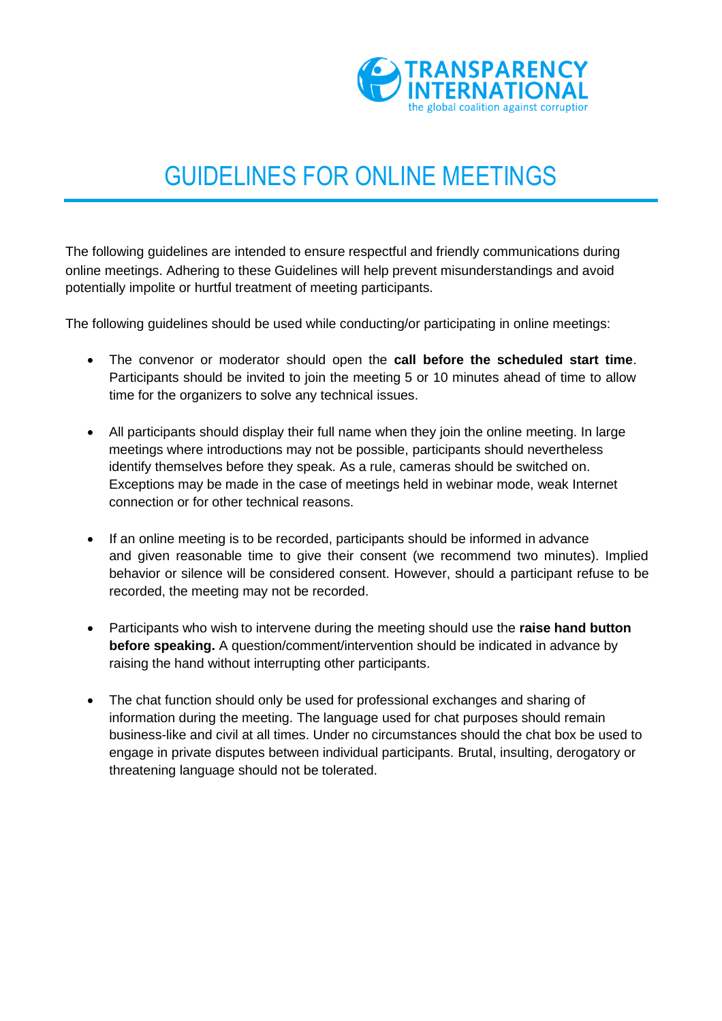

## GUIDELINES FOR ONLINE MEETINGS

The following guidelines are intended to ensure respectful and friendly communications during online meetings. Adhering to these Guidelines will help prevent misunderstandings and avoid potentially impolite or hurtful treatment of meeting participants.

The following guidelines should be used while conducting/or participating in online meetings:

- The convenor or moderator should open the **call before the scheduled start time**. Participants should be invited to join the meeting 5 or 10 minutes ahead of time to allow time for the organizers to solve any technical issues.
- All participants should display their full name when they join the online meeting. In large meetings where introductions may not be possible, participants should nevertheless identify themselves before they speak. As a rule, cameras should be switched on. Exceptions may be made in the case of meetings held in webinar mode, weak Internet connection or for other technical reasons.
- If an online meeting is to be recorded, participants should be informed in advance and given reasonable time to give their consent (we recommend two minutes). Implied behavior or silence will be considered consent. However, should a participant refuse to be recorded, the meeting may not be recorded.
- Participants who wish to intervene during the meeting should use the **raise hand button before speaking.** A question/comment/intervention should be indicated in advance by raising the hand without interrupting other participants.
- The chat function should only be used for professional exchanges and sharing of information during the meeting. The language used for chat purposes should remain business-like and civil at all times. Under no circumstances should the chat box be used to engage in private disputes between individual participants. Brutal, insulting, derogatory or threatening language should not be tolerated.